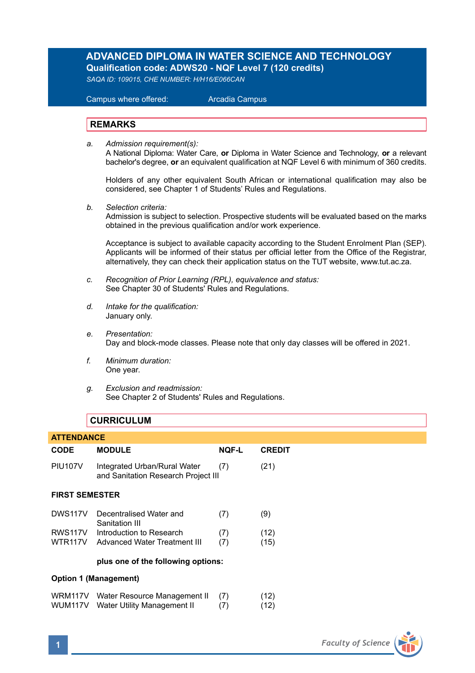### **ADVANCED DIPLOMA IN WATER SCIENCE AND TECHNOLOGY Qualification code: ADWS20 - NQF Level 7 (120 credits)**

*SAQA ID: 109015, CHE NUMBER: H/H16/E066CAN* 

 Campus where offered: Arcadia Campus

### **REMARKS**

*a. Admission requirement(s):* 

A National Diploma: Water Care, **or** Diploma in Water Science and Technology, **or** a relevant bachelor's degree, **or** an equivalent qualification at NQF Level 6 with minimum of 360 credits.

Holders of any other equivalent South African or international qualification may also be considered, see Chapter 1 of Students' Rules and Regulations.

*b. Selection criteria:*

Admission is subject to selection. Prospective students will be evaluated based on the marks obtained in the previous qualification and/or work experience.

Acceptance is subject to available capacity according to the Student Enrolment Plan (SEP). Applicants will be informed of their status per official letter from the Office of the Registrar, alternatively, they can check their application status on the TUT website, www.tut.ac.za.

- *c. Recognition of Prior Learning (RPL), equivalence and status:* See Chapter 30 of Students' Rules and Regulations.
- *d. Intake for the qualification:* January only.
- *e. Presentation:* Day and block-mode classes. Please note that only day classes will be offered in 2021.
- *f. Minimum duration:* One year.
- *g. Exclusion and readmission:* See Chapter 2 of Students' Rules and Regulations.

### **CURRICULUM**

| <b>ATTENDANCE</b>                  |                                                                     |              |               |  |  |
|------------------------------------|---------------------------------------------------------------------|--------------|---------------|--|--|
| CODE                               | <b>MODULE</b>                                                       | <b>NOF-L</b> | <b>CREDIT</b> |  |  |
| <b>PIU107V</b>                     | Integrated Urban/Rural Water<br>and Sanitation Research Project III | (7)          | (21)          |  |  |
| <b>FIRST SEMESTER</b>              |                                                                     |              |               |  |  |
| DWS117V                            | Decentralised Water and<br>Sanitation III                           | (7)          | (9)           |  |  |
| <b>RWS117V</b>                     | Introduction to Research                                            | (7)          | (12)          |  |  |
| WTR117V                            | Advanced Water Treatment III                                        | (7)          | (15)          |  |  |
| plus one of the following options: |                                                                     |              |               |  |  |
| Option 1 (Management)              |                                                                     |              |               |  |  |
| WRM117V                            | Water Resource Management II                                        | (7)          | (12)          |  |  |
| WUM117V                            | Water Utility Management II                                         | (7)          | (12)          |  |  |

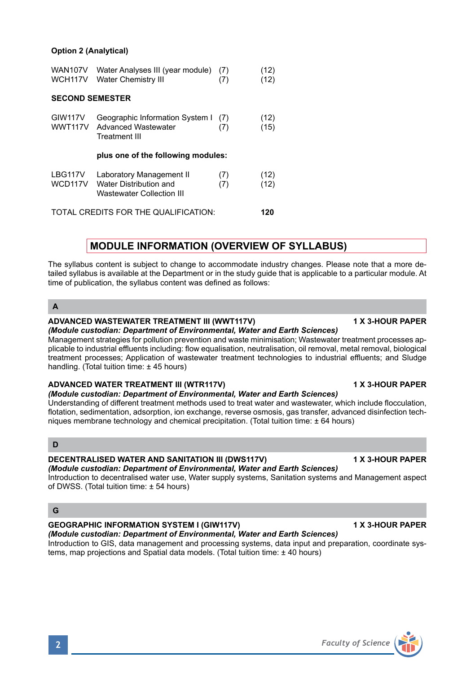#### **Option 2 (Analytical)**

| WAN107V<br>WCH117V                   | Water Analyses III (year module)<br><b>Water Chemistry III</b>                  | (7)<br>(7) | (12)<br>(12) |  |  |
|--------------------------------------|---------------------------------------------------------------------------------|------------|--------------|--|--|
| <b>SECOND SEMESTER</b>               |                                                                                 |            |              |  |  |
| <b>GIW117V</b><br>WWT117V            | Geographic Information System I<br><b>Advanced Wastewater</b><br>Treatment III  | (7)<br>(7) | (12)<br>(15) |  |  |
| plus one of the following modules:   |                                                                                 |            |              |  |  |
| LBG117V<br>WCD117V                   | Laboratory Management II<br>Water Distribution and<br>Wastewater Collection III | (7)<br>(7) | (12)<br>(12) |  |  |
| TOTAL CREDITS FOR THE QUALIFICATION: |                                                                                 |            |              |  |  |

### **MODULE INFORMATION (OVERVIEW OF SYLLABUS)**

The syllabus content is subject to change to accommodate industry changes. Please note that a more detailed syllabus is available at the Department or in the study guide that is applicable to a particular module. At time of publication, the syllabus content was defined as follows:

**A**

#### **ADVANCED WASTEWATER TREATMENT III (WWT117V) 1 X 3-HOUR PAPER**

*(Module custodian: Department of Environmental, Water and Earth Sciences)* Management strategies for pollution prevention and waste minimisation; Wastewater treatment processes applicable to industrial effluents including: flow equalisation, neutralisation, oil removal, metal removal, biological treatment processes; Application of wastewater treatment technologies to industrial effluents; and Sludge handling. (Total tuition time: ± 45 hours)

#### ADVANCED WATER TREATMENT III (WTR117V) **1 ADVANCED WATER TREATMENT** III (WTR117V)

### *(Module custodian: Department of Environmental, Water and Earth Sciences)*

Understanding of different treatment methods used to treat water and wastewater, which include flocculation, flotation, sedimentation, adsorption, ion exchange, reverse osmosis, gas transfer, advanced disinfection techniques membrane technology and chemical precipitation. (Total tuition time: ± 64 hours)

**D**

#### **DECENTRALISED WATER AND SANITATION III (DWS117V) 1 X 3-HOUR PAPER**

*(Module custodian: Department of Environmental, Water and Earth Sciences)*

Introduction to decentralised water use, Water supply systems, Sanitation systems and Management aspect of DWSS. (Total tuition time: ± 54 hours)

### **G**

### GEOGRAPHIC INFORMATION SYSTEM I (GIW117V) **1 A 3-HOUR PAPER**

*(Module custodian: Department of Environmental, Water and Earth Sciences)* Introduction to GIS, data management and processing systems, data input and preparation, coordinate systems, map projections and Spatial data models. (Total tuition time: ± 40 hours)